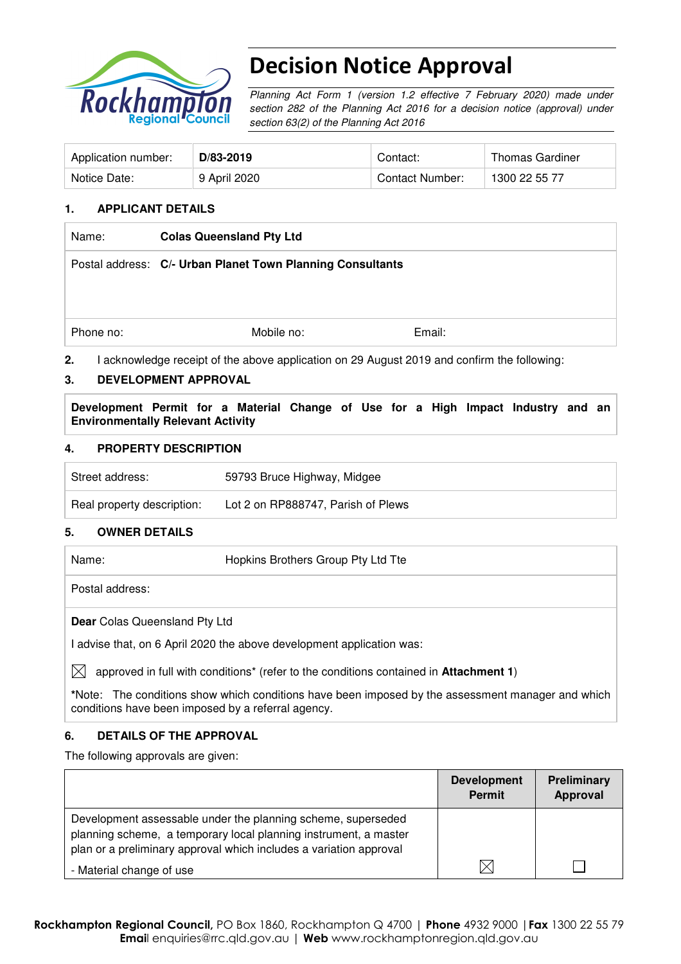

# Decision Notice Approval

Planning Act Form 1 (version 1.2 effective 7 February 2020) made under section 282 of the Planning Act 2016 for a decision notice (approval) under section 63(2) of the Planning Act 2016

| Application number: | D/83-2019    | Contact:        | Thomas Gardiner |
|---------------------|--------------|-----------------|-----------------|
| Notice Date:        | 9 April 2020 | Contact Number: | 1300 22 55 77   |

### **1. APPLICANT DETAILS**

| Name:     | <b>Colas Queensland Pty Ltd</b>                            |                                                                                           |  |
|-----------|------------------------------------------------------------|-------------------------------------------------------------------------------------------|--|
|           | Postal address: C/- Urban Planet Town Planning Consultants |                                                                                           |  |
|           |                                                            |                                                                                           |  |
|           |                                                            |                                                                                           |  |
| Phone no: | Mobile no:                                                 | Email:                                                                                    |  |
| 2.        |                                                            | acknowledge receipt of the above application on 29 August 2019 and confirm the following: |  |

## **3. DEVELOPMENT APPROVAL**

**Development Permit for a Material Change of Use for a High Impact Industry and an Environmentally Relevant Activity** 

### **4. PROPERTY DESCRIPTION**

| Street address:            | 59793 Bruce Highway, Midgee        |  |
|----------------------------|------------------------------------|--|
| Real property description: | Lot 2 on RP888747, Parish of Plews |  |

#### **5. OWNER DETAILS**

Name: Hopkins Brothers Group Pty Ltd Tte

Postal address:

**Dear** Colas Queensland Pty Ltd

I advise that, on 6 April 2020 the above development application was:

 $\boxtimes$  approved in full with conditions<sup>\*</sup> (refer to the conditions contained in **Attachment 1**)

**\***Note:The conditions show which conditions have been imposed by the assessment manager and which conditions have been imposed by a referral agency.

#### **6. DETAILS OF THE APPROVAL**

The following approvals are given:

|                                                                                                                                                                                                        | <b>Development</b><br><b>Permit</b> | Preliminary<br>Approval |
|--------------------------------------------------------------------------------------------------------------------------------------------------------------------------------------------------------|-------------------------------------|-------------------------|
| Development assessable under the planning scheme, superseded<br>planning scheme, a temporary local planning instrument, a master<br>plan or a preliminary approval which includes a variation approval |                                     |                         |
| - Material change of use                                                                                                                                                                               | ⋉                                   |                         |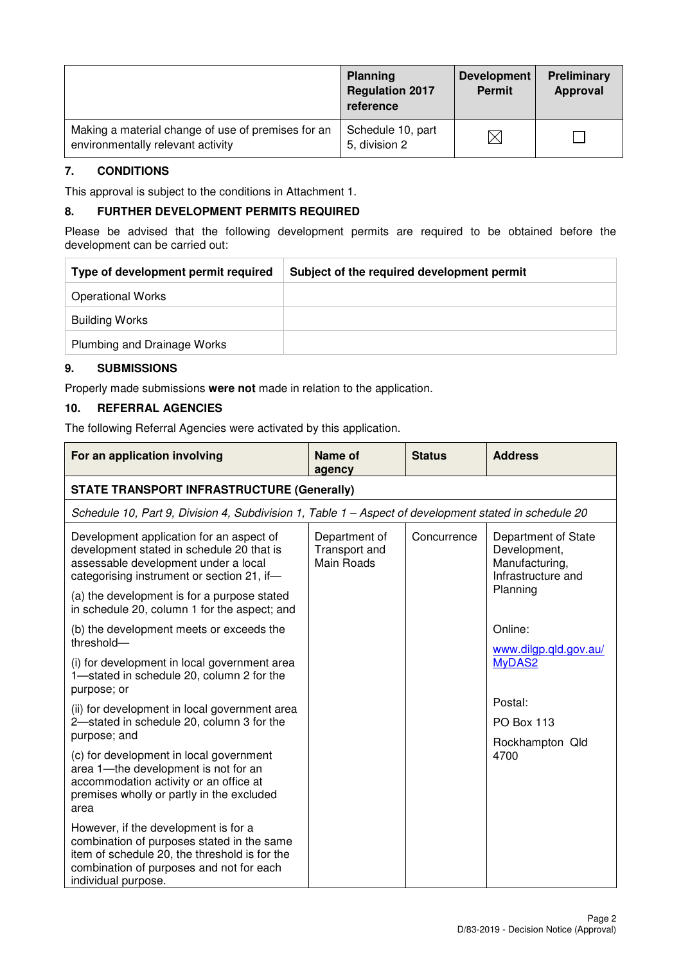|                                                                                         | <b>Planning</b><br><b>Regulation 2017</b><br>reference | <b>Development</b><br><b>Permit</b> | Preliminary<br>Approval |
|-----------------------------------------------------------------------------------------|--------------------------------------------------------|-------------------------------------|-------------------------|
| Making a material change of use of premises for an<br>environmentally relevant activity | Schedule 10, part<br>5, division 2                     | $\times$                            |                         |

### **7. CONDITIONS**

This approval is subject to the conditions in Attachment 1.

## **8. FURTHER DEVELOPMENT PERMITS REQUIRED**

Please be advised that the following development permits are required to be obtained before the development can be carried out:

| Subject of the required development permit |
|--------------------------------------------|
|                                            |
|                                            |
|                                            |
|                                            |

## **9. SUBMISSIONS**

Properly made submissions **were not** made in relation to the application.

## **10. REFERRAL AGENCIES**

The following Referral Agencies were activated by this application.

| For an application involving                                                                                                                                                                           | <b>Name of</b><br>agency                     | <b>Status</b> | <b>Address</b>                                                              |
|--------------------------------------------------------------------------------------------------------------------------------------------------------------------------------------------------------|----------------------------------------------|---------------|-----------------------------------------------------------------------------|
| <b>STATE TRANSPORT INFRASTRUCTURE (Generally)</b>                                                                                                                                                      |                                              |               |                                                                             |
| Schedule 10, Part 9, Division 4, Subdivision 1, Table 1 – Aspect of development stated in schedule 20                                                                                                  |                                              |               |                                                                             |
| Development application for an aspect of<br>development stated in schedule 20 that is<br>assessable development under a local<br>categorising instrument or section 21, if-                            | Department of<br>Transport and<br>Main Roads | Concurrence   | Department of State<br>Development,<br>Manufacturing,<br>Infrastructure and |
| (a) the development is for a purpose stated<br>in schedule 20, column 1 for the aspect; and                                                                                                            |                                              |               | Planning                                                                    |
| (b) the development meets or exceeds the<br>threshold-                                                                                                                                                 |                                              |               | Online:<br>www.dilgp.qld.gov.au/                                            |
| (i) for development in local government area<br>1-stated in schedule 20, column 2 for the<br>purpose; or                                                                                               |                                              |               | MyDAS2                                                                      |
| (ii) for development in local government area                                                                                                                                                          |                                              |               | Postal:                                                                     |
| 2-stated in schedule 20, column 3 for the<br>purpose; and                                                                                                                                              |                                              |               | <b>PO Box 113</b>                                                           |
| (c) for development in local government<br>area 1-the development is not for an<br>accommodation activity or an office at<br>premises wholly or partly in the excluded<br>area                         |                                              |               | Rockhampton Qld<br>4700                                                     |
| However, if the development is for a<br>combination of purposes stated in the same<br>item of schedule 20, the threshold is for the<br>combination of purposes and not for each<br>individual purpose. |                                              |               |                                                                             |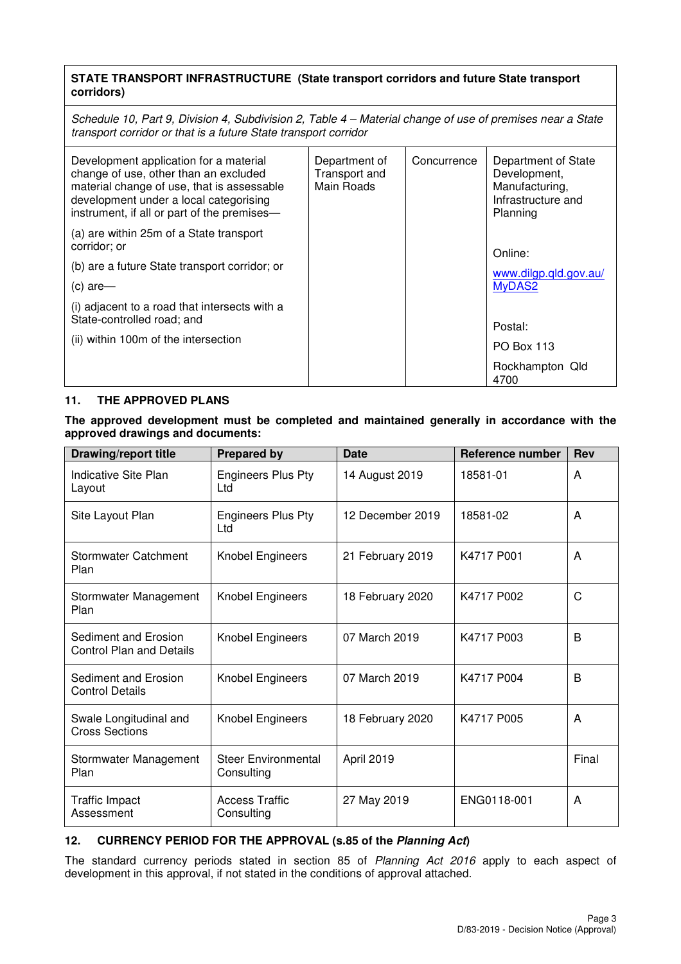## **STATE TRANSPORT INFRASTRUCTURE (State transport corridors and future State transport corridors)**

Schedule 10, Part 9, Division 4, Subdivision 2, Table 4 – Material change of use of premises near a State transport corridor or that is a future State transport corridor

| Development application for a material<br>change of use, other than an excluded<br>material change of use, that is assessable<br>development under a local categorising<br>instrument, if all or part of the premises- | Department of<br>Transport and<br>Main Roads | Concurrence | Department of State<br>Development,<br>Manufacturing,<br>Infrastructure and<br>Planning |
|------------------------------------------------------------------------------------------------------------------------------------------------------------------------------------------------------------------------|----------------------------------------------|-------------|-----------------------------------------------------------------------------------------|
| (a) are within 25m of a State transport<br>corridor; or<br>(b) are a future State transport corridor; or<br>$(c)$ are-<br>(i) adjacent to a road that intersects with a                                                |                                              |             | Online:<br>www.dilgp.qld.gov.au/<br>MyDAS2                                              |
| State-controlled road; and<br>(ii) within 100m of the intersection                                                                                                                                                     |                                              |             | Postal:<br>PO Box 113                                                                   |
|                                                                                                                                                                                                                        |                                              |             | Rockhampton Qld<br>4700                                                                 |

### **11. THE APPROVED PLANS**

**The approved development must be completed and maintained generally in accordance with the approved drawings and documents:** 

| <b>Drawing/report title</b>                             | <b>Prepared by</b>                       | <b>Date</b>      | <b>Reference number</b> | <b>Rev</b> |
|---------------------------------------------------------|------------------------------------------|------------------|-------------------------|------------|
| Indicative Site Plan<br>Layout                          | <b>Engineers Plus Pty</b><br>Ltd         | 14 August 2019   | 18581-01                | A          |
| Site Layout Plan                                        | <b>Engineers Plus Pty</b><br>Ltd         | 12 December 2019 | 18581-02                | A          |
| <b>Stormwater Catchment</b><br>Plan                     | Knobel Engineers                         | 21 February 2019 | K4717 P001              | A          |
| Stormwater Management<br>Plan                           | Knobel Engineers                         | 18 February 2020 | K4717 P002              | C          |
| Sediment and Erosion<br><b>Control Plan and Details</b> | Knobel Engineers                         | 07 March 2019    | K4717 P003              | B          |
| Sediment and Erosion<br><b>Control Details</b>          | Knobel Engineers                         | 07 March 2019    | K4717 P004              | B          |
| Swale Longitudinal and<br><b>Cross Sections</b>         | Knobel Engineers                         | 18 February 2020 | K4717 P005              | A          |
| Stormwater Management<br>Plan                           | <b>Steer Environmental</b><br>Consulting | April 2019       |                         | Final      |
| <b>Traffic Impact</b><br>Assessment                     | <b>Access Traffic</b><br>Consulting      | 27 May 2019      | ENG0118-001             | A          |

## **12. CURRENCY PERIOD FOR THE APPROVAL (s.85 of the Planning Act)**

The standard currency periods stated in section 85 of Planning Act 2016 apply to each aspect of development in this approval, if not stated in the conditions of approval attached.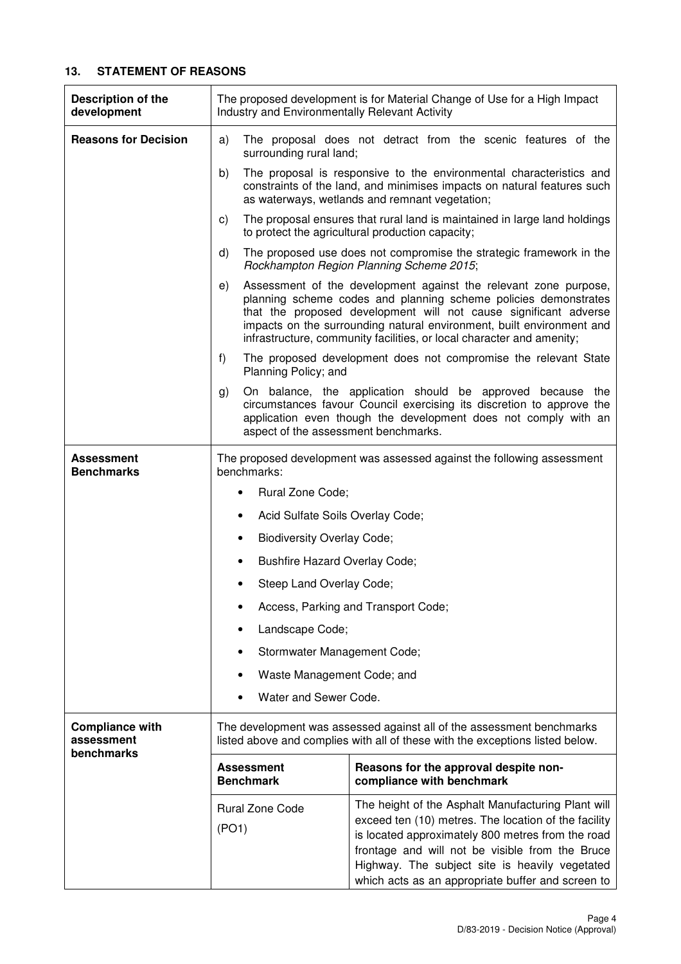## **13. STATEMENT OF REASONS**

| Description of the<br>development                  | The proposed development is for Material Change of Use for a High Impact<br>Industry and Environmentally Relevant Activity                                                                             |                                                                                                                                                                                                                                                                                                                                                           |  |  |
|----------------------------------------------------|--------------------------------------------------------------------------------------------------------------------------------------------------------------------------------------------------------|-----------------------------------------------------------------------------------------------------------------------------------------------------------------------------------------------------------------------------------------------------------------------------------------------------------------------------------------------------------|--|--|
| <b>Reasons for Decision</b>                        | a)<br>surrounding rural land;                                                                                                                                                                          | The proposal does not detract from the scenic features of the                                                                                                                                                                                                                                                                                             |  |  |
|                                                    | b)<br>The proposal is responsive to the environmental characteristics and<br>constraints of the land, and minimises impacts on natural features such<br>as waterways, wetlands and remnant vegetation; |                                                                                                                                                                                                                                                                                                                                                           |  |  |
|                                                    | C)                                                                                                                                                                                                     | The proposal ensures that rural land is maintained in large land holdings<br>to protect the agricultural production capacity;                                                                                                                                                                                                                             |  |  |
|                                                    | d)                                                                                                                                                                                                     | The proposed use does not compromise the strategic framework in the<br>Rockhampton Region Planning Scheme 2015;                                                                                                                                                                                                                                           |  |  |
|                                                    | e)                                                                                                                                                                                                     | Assessment of the development against the relevant zone purpose,<br>planning scheme codes and planning scheme policies demonstrates<br>that the proposed development will not cause significant adverse<br>impacts on the surrounding natural environment, built environment and<br>infrastructure, community facilities, or local character and amenity; |  |  |
|                                                    | f)<br>Planning Policy; and                                                                                                                                                                             | The proposed development does not compromise the relevant State                                                                                                                                                                                                                                                                                           |  |  |
|                                                    | g)<br>aspect of the assessment benchmarks.                                                                                                                                                             | On balance, the application should be approved because the<br>circumstances favour Council exercising its discretion to approve the<br>application even though the development does not comply with an                                                                                                                                                    |  |  |
| <b>Assessment</b><br><b>Benchmarks</b>             | The proposed development was assessed against the following assessment<br>benchmarks:                                                                                                                  |                                                                                                                                                                                                                                                                                                                                                           |  |  |
|                                                    | Rural Zone Code;                                                                                                                                                                                       |                                                                                                                                                                                                                                                                                                                                                           |  |  |
|                                                    | Acid Sulfate Soils Overlay Code;                                                                                                                                                                       |                                                                                                                                                                                                                                                                                                                                                           |  |  |
|                                                    | <b>Biodiversity Overlay Code;</b><br>٠                                                                                                                                                                 |                                                                                                                                                                                                                                                                                                                                                           |  |  |
|                                                    | Bushfire Hazard Overlay Code;<br>٠                                                                                                                                                                     |                                                                                                                                                                                                                                                                                                                                                           |  |  |
|                                                    | Steep Land Overlay Code;                                                                                                                                                                               |                                                                                                                                                                                                                                                                                                                                                           |  |  |
|                                                    |                                                                                                                                                                                                        | Access, Parking and Transport Code;                                                                                                                                                                                                                                                                                                                       |  |  |
|                                                    | Landscape Code;                                                                                                                                                                                        |                                                                                                                                                                                                                                                                                                                                                           |  |  |
|                                                    | Stormwater Management Code;                                                                                                                                                                            |                                                                                                                                                                                                                                                                                                                                                           |  |  |
|                                                    | Waste Management Code; and                                                                                                                                                                             |                                                                                                                                                                                                                                                                                                                                                           |  |  |
|                                                    | Water and Sewer Code.                                                                                                                                                                                  |                                                                                                                                                                                                                                                                                                                                                           |  |  |
| <b>Compliance with</b><br>assessment<br>benchmarks | The development was assessed against all of the assessment benchmarks<br>listed above and complies with all of these with the exceptions listed below.                                                 |                                                                                                                                                                                                                                                                                                                                                           |  |  |
|                                                    | <b>Assessment</b><br><b>Benchmark</b>                                                                                                                                                                  | Reasons for the approval despite non-<br>compliance with benchmark                                                                                                                                                                                                                                                                                        |  |  |
|                                                    | <b>Rural Zone Code</b><br>(PO1)                                                                                                                                                                        | The height of the Asphalt Manufacturing Plant will<br>exceed ten (10) metres. The location of the facility<br>is located approximately 800 metres from the road<br>frontage and will not be visible from the Bruce<br>Highway. The subject site is heavily vegetated<br>which acts as an appropriate buffer and screen to                                 |  |  |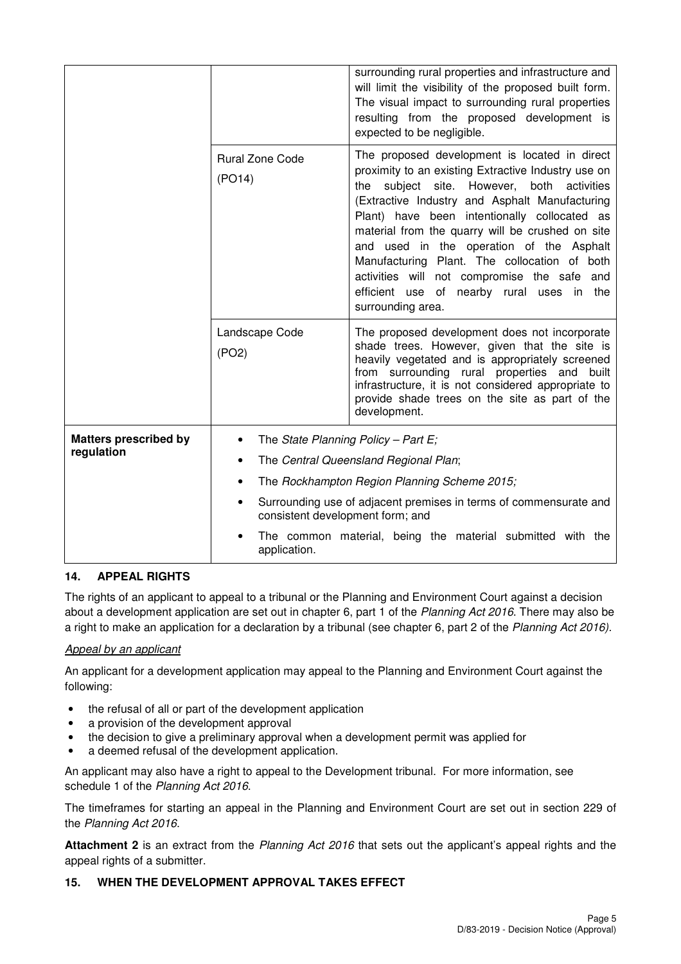|                                            |                                                                                                       | surrounding rural properties and infrastructure and<br>will limit the visibility of the proposed built form.<br>The visual impact to surrounding rural properties<br>resulting from the proposed development is<br>expected to be negligible.                                                                                                                                                                                                                                                                               |  |  |
|--------------------------------------------|-------------------------------------------------------------------------------------------------------|-----------------------------------------------------------------------------------------------------------------------------------------------------------------------------------------------------------------------------------------------------------------------------------------------------------------------------------------------------------------------------------------------------------------------------------------------------------------------------------------------------------------------------|--|--|
|                                            | <b>Rural Zone Code</b><br>(PO14)                                                                      | The proposed development is located in direct<br>proximity to an existing Extractive Industry use on<br>subject site. However, both activities<br>the<br>(Extractive Industry and Asphalt Manufacturing<br>Plant) have been intentionally collocated as<br>material from the quarry will be crushed on site<br>and used in the operation of the Asphalt<br>Manufacturing Plant. The collocation of both<br>activities will not compromise the safe and<br>efficient use of nearby rural uses in<br>the<br>surrounding area. |  |  |
|                                            | Landscape Code<br>(PO2)                                                                               | The proposed development does not incorporate<br>shade trees. However, given that the site is<br>heavily vegetated and is appropriately screened<br>from surrounding rural properties and built<br>infrastructure, it is not considered appropriate to<br>provide shade trees on the site as part of the<br>development.                                                                                                                                                                                                    |  |  |
| <b>Matters prescribed by</b><br>regulation |                                                                                                       | The State Planning Policy - Part E;                                                                                                                                                                                                                                                                                                                                                                                                                                                                                         |  |  |
|                                            | The Central Queensland Regional Plan;                                                                 |                                                                                                                                                                                                                                                                                                                                                                                                                                                                                                                             |  |  |
|                                            | The Rockhampton Region Planning Scheme 2015;                                                          |                                                                                                                                                                                                                                                                                                                                                                                                                                                                                                                             |  |  |
|                                            | Surrounding use of adjacent premises in terms of commensurate and<br>consistent development form; and |                                                                                                                                                                                                                                                                                                                                                                                                                                                                                                                             |  |  |
|                                            | The common material, being the material submitted with the<br>application.                            |                                                                                                                                                                                                                                                                                                                                                                                                                                                                                                                             |  |  |

## **14. APPEAL RIGHTS**

The rights of an applicant to appeal to a tribunal or the Planning and Environment Court against a decision about a development application are set out in chapter 6, part 1 of the Planning Act 2016. There may also be a right to make an application for a declaration by a tribunal (see chapter 6, part 2 of the Planning Act 2016).

#### Appeal by an applicant

An applicant for a development application may appeal to the Planning and Environment Court against the following:

- the refusal of all or part of the development application
- a provision of the development approval
- the decision to give a preliminary approval when a development permit was applied for
- a deemed refusal of the development application.

An applicant may also have a right to appeal to the Development tribunal. For more information, see schedule 1 of the Planning Act 2016.

The timeframes for starting an appeal in the Planning and Environment Court are set out in section 229 of the Planning Act 2016.

**Attachment 2** is an extract from the Planning Act 2016 that sets out the applicant's appeal rights and the appeal rights of a submitter.

#### **15. WHEN THE DEVELOPMENT APPROVAL TAKES EFFECT**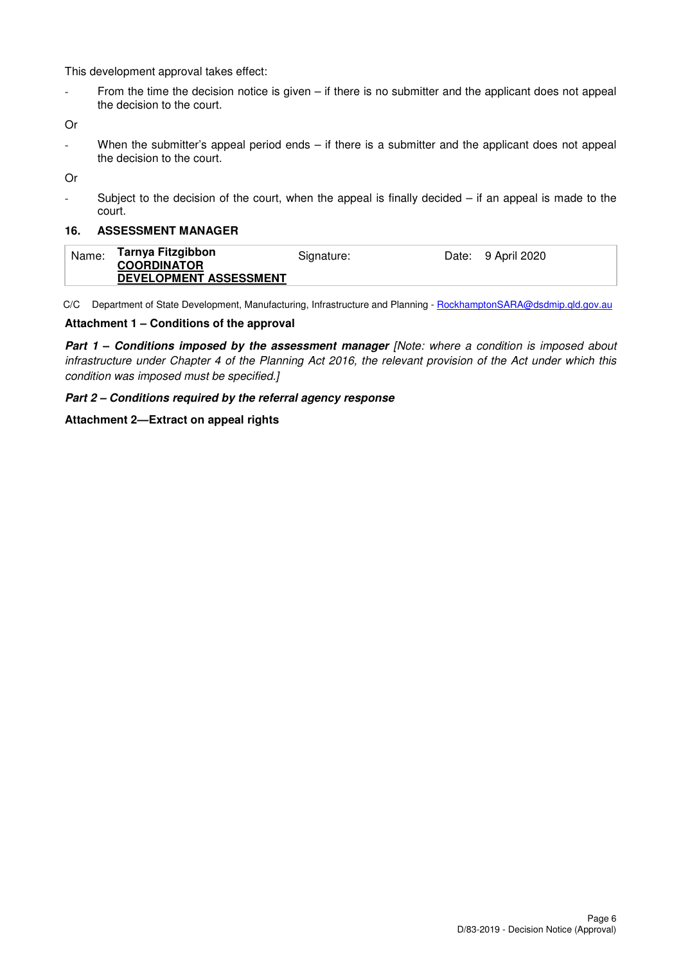This development approval takes effect:

- From the time the decision notice is given – if there is no submitter and the applicant does not appeal the decision to the court.

Or

When the submitter's appeal period ends  $-$  if there is a submitter and the applicant does not appeal the decision to the court.

Or

- Subject to the decision of the court, when the appeal is finally decided – if an appeal is made to the court.

#### **16. ASSESSMENT MANAGER**

| Name: | Tarnya Fitzgibbon<br><b>COORDINATOR</b> | Signature: | Date: 9 April 2020 |
|-------|-----------------------------------------|------------|--------------------|
|       | DEVELOPMENT ASSESSMENT                  |            |                    |

C/C Department of State Development, Manufacturing, Infrastructure and Planning - RockhamptonSARA@dsdmip.qld.gov.au

#### **Attachment 1 – Conditions of the approval**

**Part 1 – Conditions imposed by the assessment manager [Note: where a condition is imposed about** infrastructure under Chapter 4 of the Planning Act 2016, the relevant provision of the Act under which this condition was imposed must be specified.]

#### **Part 2 – Conditions required by the referral agency response**

#### **Attachment 2—Extract on appeal rights**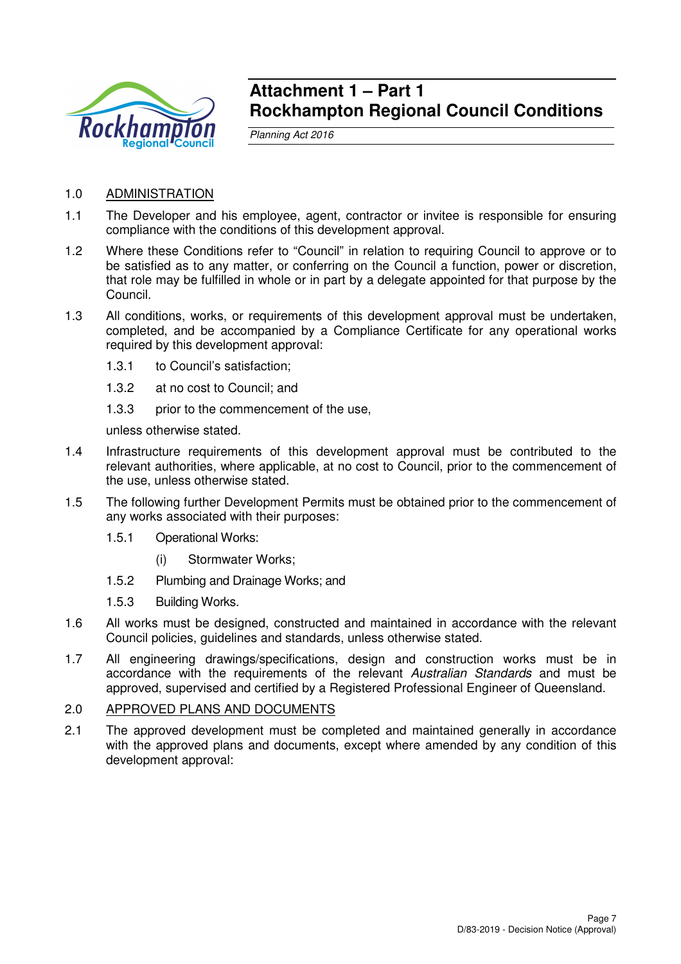

# **Attachment 1 – Part 1 Rockhampton Regional Council Conditions**

Planning Act 2016

## 1.0 ADMINISTRATION

- 1.1 The Developer and his employee, agent, contractor or invitee is responsible for ensuring compliance with the conditions of this development approval.
- 1.2 Where these Conditions refer to "Council" in relation to requiring Council to approve or to be satisfied as to any matter, or conferring on the Council a function, power or discretion, that role may be fulfilled in whole or in part by a delegate appointed for that purpose by the Council.
- 1.3 All conditions, works, or requirements of this development approval must be undertaken, completed, and be accompanied by a Compliance Certificate for any operational works required by this development approval:
	- 1.3.1 to Council's satisfaction;
	- 1.3.2 at no cost to Council; and
	- 1.3.3 prior to the commencement of the use,

unless otherwise stated.

- 1.4 Infrastructure requirements of this development approval must be contributed to the relevant authorities, where applicable, at no cost to Council, prior to the commencement of the use, unless otherwise stated.
- 1.5 The following further Development Permits must be obtained prior to the commencement of any works associated with their purposes:
	- 1.5.1 Operational Works:
		- (i) Stormwater Works;
	- 1.5.2 Plumbing and Drainage Works; and
	- 1.5.3 Building Works.
- 1.6 All works must be designed, constructed and maintained in accordance with the relevant Council policies, guidelines and standards, unless otherwise stated.
- 1.7 All engineering drawings/specifications, design and construction works must be in accordance with the requirements of the relevant Australian Standards and must be approved, supervised and certified by a Registered Professional Engineer of Queensland.

## 2.0 APPROVED PLANS AND DOCUMENTS

2.1 The approved development must be completed and maintained generally in accordance with the approved plans and documents, except where amended by any condition of this development approval: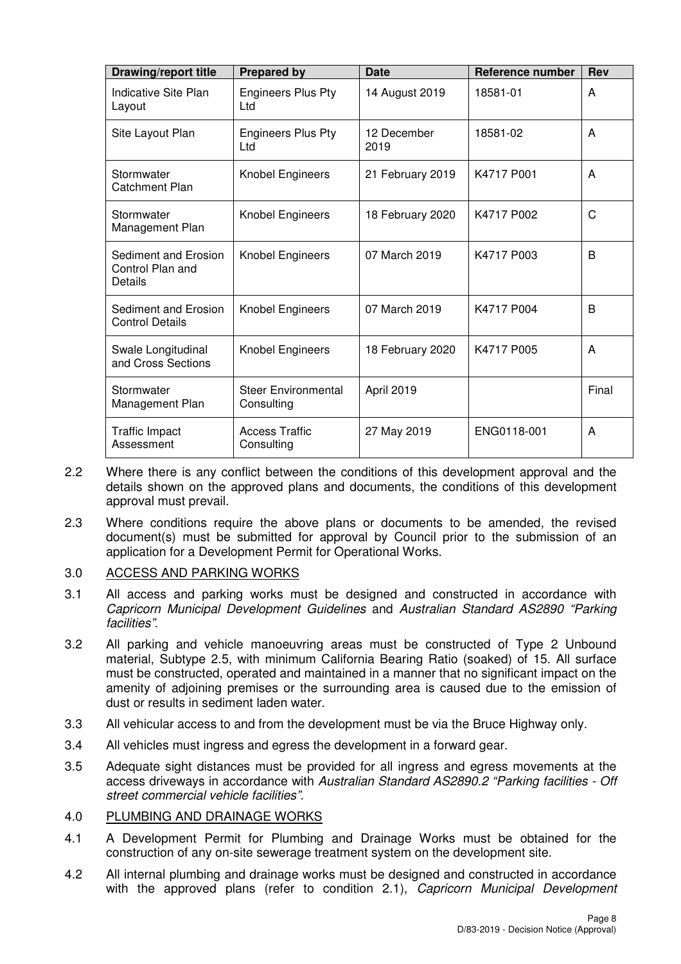| <b>Drawing/report title</b>                         | <b>Prepared by</b>                       | <b>Date</b>         | Reference number | <b>Rev</b> |
|-----------------------------------------------------|------------------------------------------|---------------------|------------------|------------|
| Indicative Site Plan<br>Layout                      | <b>Engineers Plus Pty</b><br>Ltd         | 14 August 2019      | 18581-01         | A          |
| Site Layout Plan                                    | <b>Engineers Plus Pty</b><br>Ltd         | 12 December<br>2019 | 18581-02         | A          |
| Stormwater<br><b>Catchment Plan</b>                 | Knobel Engineers                         | 21 February 2019    | K4717 P001       | A          |
| Stormwater<br>Management Plan                       | Knobel Engineers                         | 18 February 2020    | K4717 P002       | C          |
| Sediment and Erosion<br>Control Plan and<br>Details | Knobel Engineers                         | 07 March 2019       | K4717 P003       | B          |
| Sediment and Erosion<br><b>Control Details</b>      | <b>Knobel Engineers</b>                  | 07 March 2019       | K4717 P004       | B          |
| Swale Longitudinal<br>and Cross Sections            | Knobel Engineers                         | 18 February 2020    | K4717 P005       | A          |
| Stormwater<br>Management Plan                       | <b>Steer Environmental</b><br>Consulting | April 2019          |                  | Final      |
| <b>Traffic Impact</b><br>Assessment                 | <b>Access Traffic</b><br>Consulting      | 27 May 2019         | ENG0118-001      | A          |

- 2.2 Where there is any conflict between the conditions of this development approval and the details shown on the approved plans and documents, the conditions of this development approval must prevail.
- 2.3 Where conditions require the above plans or documents to be amended, the revised document(s) must be submitted for approval by Council prior to the submission of an application for a Development Permit for Operational Works.

## 3.0 ACCESS AND PARKING WORKS

- 3.1 All access and parking works must be designed and constructed in accordance with Capricorn Municipal Development Guidelines and Australian Standard AS2890 "Parking facilities".
- 3.2 All parking and vehicle manoeuvring areas must be constructed of Type 2 Unbound material, Subtype 2.5, with minimum California Bearing Ratio (soaked) of 15. All surface must be constructed, operated and maintained in a manner that no significant impact on the amenity of adjoining premises or the surrounding area is caused due to the emission of dust or results in sediment laden water.
- 3.3 All vehicular access to and from the development must be via the Bruce Highway only.
- 3.4 All vehicles must ingress and egress the development in a forward gear.
- 3.5 Adequate sight distances must be provided for all ingress and egress movements at the access driveways in accordance with Australian Standard AS2890.2 "Parking facilities - Off street commercial vehicle facilities".

## 4.0 PLUMBING AND DRAINAGE WORKS

- 4.1 A Development Permit for Plumbing and Drainage Works must be obtained for the construction of any on-site sewerage treatment system on the development site.
- 4.2 All internal plumbing and drainage works must be designed and constructed in accordance with the approved plans (refer to condition 2.1), Capricorn Municipal Development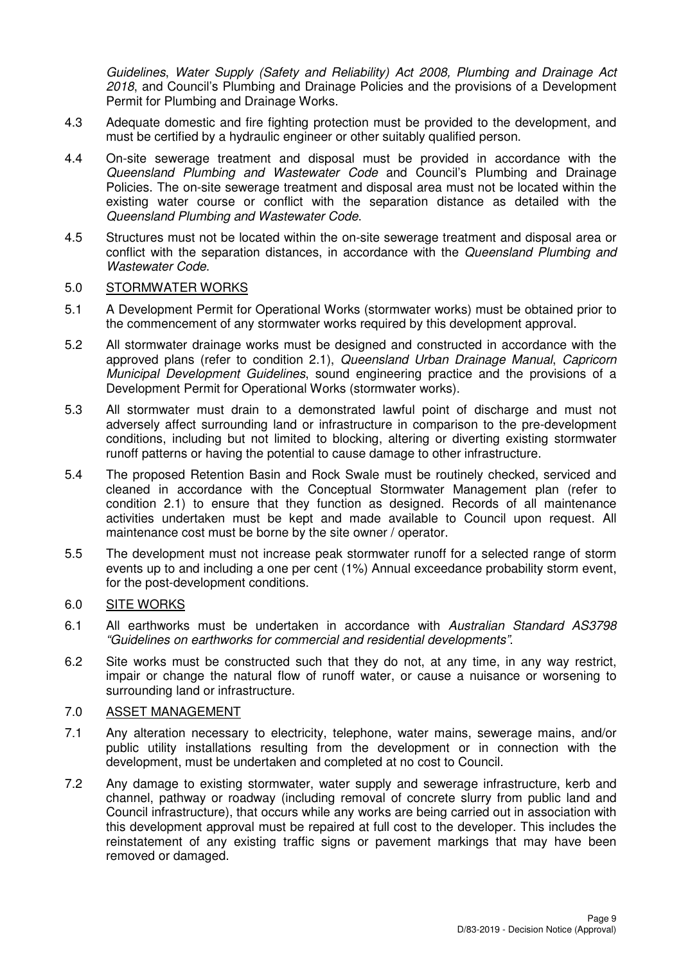Guidelines, Water Supply (Safety and Reliability) Act 2008, Plumbing and Drainage Act 2018, and Council's Plumbing and Drainage Policies and the provisions of a Development Permit for Plumbing and Drainage Works.

- 4.3 Adequate domestic and fire fighting protection must be provided to the development, and must be certified by a hydraulic engineer or other suitably qualified person.
- 4.4 On-site sewerage treatment and disposal must be provided in accordance with the Queensland Plumbing and Wastewater Code and Council's Plumbing and Drainage Policies. The on-site sewerage treatment and disposal area must not be located within the existing water course or conflict with the separation distance as detailed with the Queensland Plumbing and Wastewater Code.
- 4.5 Structures must not be located within the on-site sewerage treatment and disposal area or conflict with the separation distances, in accordance with the Queensland Plumbing and Wastewater Code.

#### 5.0 STORMWATER WORKS

- 5.1 A Development Permit for Operational Works (stormwater works) must be obtained prior to the commencement of any stormwater works required by this development approval.
- 5.2 All stormwater drainage works must be designed and constructed in accordance with the approved plans (refer to condition 2.1), Queensland Urban Drainage Manual, Capricorn Municipal Development Guidelines, sound engineering practice and the provisions of a Development Permit for Operational Works (stormwater works).
- 5.3 All stormwater must drain to a demonstrated lawful point of discharge and must not adversely affect surrounding land or infrastructure in comparison to the pre-development conditions, including but not limited to blocking, altering or diverting existing stormwater runoff patterns or having the potential to cause damage to other infrastructure.
- 5.4 The proposed Retention Basin and Rock Swale must be routinely checked, serviced and cleaned in accordance with the Conceptual Stormwater Management plan (refer to condition 2.1) to ensure that they function as designed. Records of all maintenance activities undertaken must be kept and made available to Council upon request. All maintenance cost must be borne by the site owner / operator.
- 5.5 The development must not increase peak stormwater runoff for a selected range of storm events up to and including a one per cent (1%) Annual exceedance probability storm event, for the post-development conditions.

## 6.0 SITE WORKS

- 6.1 All earthworks must be undertaken in accordance with Australian Standard AS3798 "Guidelines on earthworks for commercial and residential developments".
- 6.2 Site works must be constructed such that they do not, at any time, in any way restrict, impair or change the natural flow of runoff water, or cause a nuisance or worsening to surrounding land or infrastructure.

### 7.0 ASSET MANAGEMENT

- 7.1 Any alteration necessary to electricity, telephone, water mains, sewerage mains, and/or public utility installations resulting from the development or in connection with the development, must be undertaken and completed at no cost to Council.
- 7.2 Any damage to existing stormwater, water supply and sewerage infrastructure, kerb and channel, pathway or roadway (including removal of concrete slurry from public land and Council infrastructure), that occurs while any works are being carried out in association with this development approval must be repaired at full cost to the developer. This includes the reinstatement of any existing traffic signs or pavement markings that may have been removed or damaged.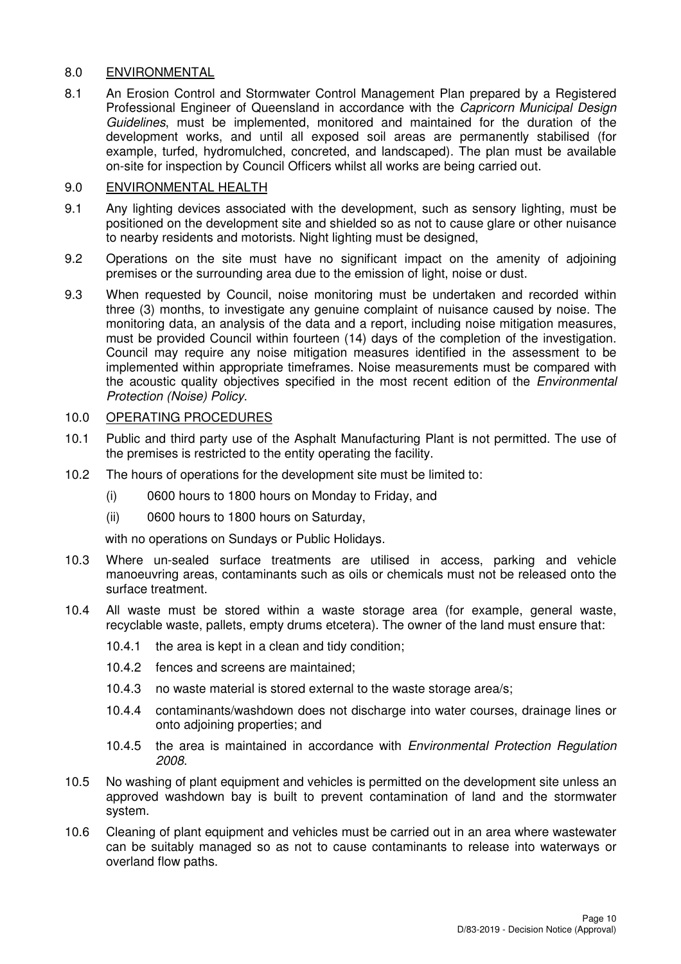## 8.0 ENVIRONMENTAL

8.1 An Erosion Control and Stormwater Control Management Plan prepared by a Registered Professional Engineer of Queensland in accordance with the Capricorn Municipal Design Guidelines, must be implemented, monitored and maintained for the duration of the development works, and until all exposed soil areas are permanently stabilised (for example, turfed, hydromulched, concreted, and landscaped). The plan must be available on-site for inspection by Council Officers whilst all works are being carried out.

## 9.0 ENVIRONMENTAL HEALTH

- 9.1 Any lighting devices associated with the development, such as sensory lighting, must be positioned on the development site and shielded so as not to cause glare or other nuisance to nearby residents and motorists. Night lighting must be designed,
- 9.2 Operations on the site must have no significant impact on the amenity of adjoining premises or the surrounding area due to the emission of light, noise or dust.
- 9.3 When requested by Council, noise monitoring must be undertaken and recorded within three (3) months, to investigate any genuine complaint of nuisance caused by noise. The monitoring data, an analysis of the data and a report, including noise mitigation measures, must be provided Council within fourteen (14) days of the completion of the investigation. Council may require any noise mitigation measures identified in the assessment to be implemented within appropriate timeframes. Noise measurements must be compared with the acoustic quality objectives specified in the most recent edition of the Environmental Protection (Noise) Policy.

## 10.0 OPERATING PROCEDURES

- 10.1 Public and third party use of the Asphalt Manufacturing Plant is not permitted. The use of the premises is restricted to the entity operating the facility.
- 10.2 The hours of operations for the development site must be limited to:
	- (i) 0600 hours to 1800 hours on Monday to Friday, and
	- (ii) 0600 hours to 1800 hours on Saturday,

with no operations on Sundays or Public Holidays.

- 10.3 Where un-sealed surface treatments are utilised in access, parking and vehicle manoeuvring areas, contaminants such as oils or chemicals must not be released onto the surface treatment.
- 10.4 All waste must be stored within a waste storage area (for example, general waste, recyclable waste, pallets, empty drums etcetera). The owner of the land must ensure that:
	- 10.4.1 the area is kept in a clean and tidy condition;
	- 10.4.2 fences and screens are maintained;
	- 10.4.3 no waste material is stored external to the waste storage area/s;
	- 10.4.4 contaminants/washdown does not discharge into water courses, drainage lines or onto adjoining properties; and
	- 10.4.5 the area is maintained in accordance with Environmental Protection Regulation 2008.
- 10.5 No washing of plant equipment and vehicles is permitted on the development site unless an approved washdown bay is built to prevent contamination of land and the stormwater system.
- 10.6 Cleaning of plant equipment and vehicles must be carried out in an area where wastewater can be suitably managed so as not to cause contaminants to release into waterways or overland flow paths.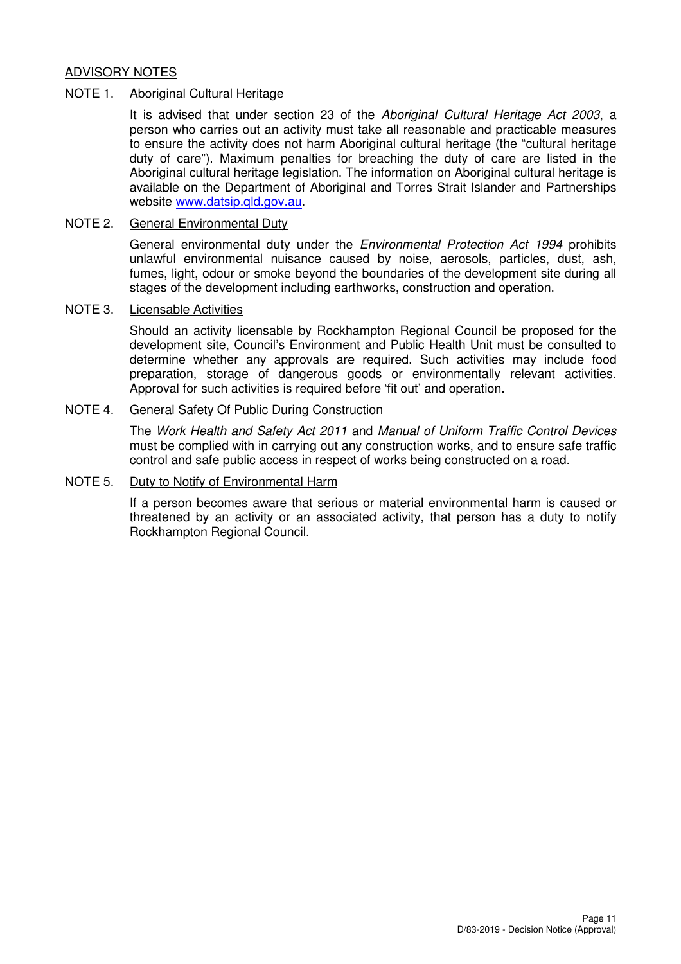## ADVISORY NOTES

#### NOTE 1. Aboriginal Cultural Heritage

It is advised that under section 23 of the Aboriginal Cultural Heritage Act 2003, a person who carries out an activity must take all reasonable and practicable measures to ensure the activity does not harm Aboriginal cultural heritage (the "cultural heritage duty of care"). Maximum penalties for breaching the duty of care are listed in the Aboriginal cultural heritage legislation. The information on Aboriginal cultural heritage is available on the Department of Aboriginal and Torres Strait Islander and Partnerships website www.datsip.qld.gov.au.

#### NOTE 2. General Environmental Duty

General environmental duty under the *Environmental Protection Act 1994* prohibits unlawful environmental nuisance caused by noise, aerosols, particles, dust, ash, fumes, light, odour or smoke beyond the boundaries of the development site during all stages of the development including earthworks, construction and operation.

#### NOTE 3. Licensable Activities

Should an activity licensable by Rockhampton Regional Council be proposed for the development site, Council's Environment and Public Health Unit must be consulted to determine whether any approvals are required. Such activities may include food preparation, storage of dangerous goods or environmentally relevant activities. Approval for such activities is required before 'fit out' and operation.

### NOTE 4. General Safety Of Public During Construction

The Work Health and Safety Act 2011 and Manual of Uniform Traffic Control Devices must be complied with in carrying out any construction works, and to ensure safe traffic control and safe public access in respect of works being constructed on a road.

### NOTE 5. Duty to Notify of Environmental Harm

If a person becomes aware that serious or material environmental harm is caused or threatened by an activity or an associated activity, that person has a duty to notify Rockhampton Regional Council.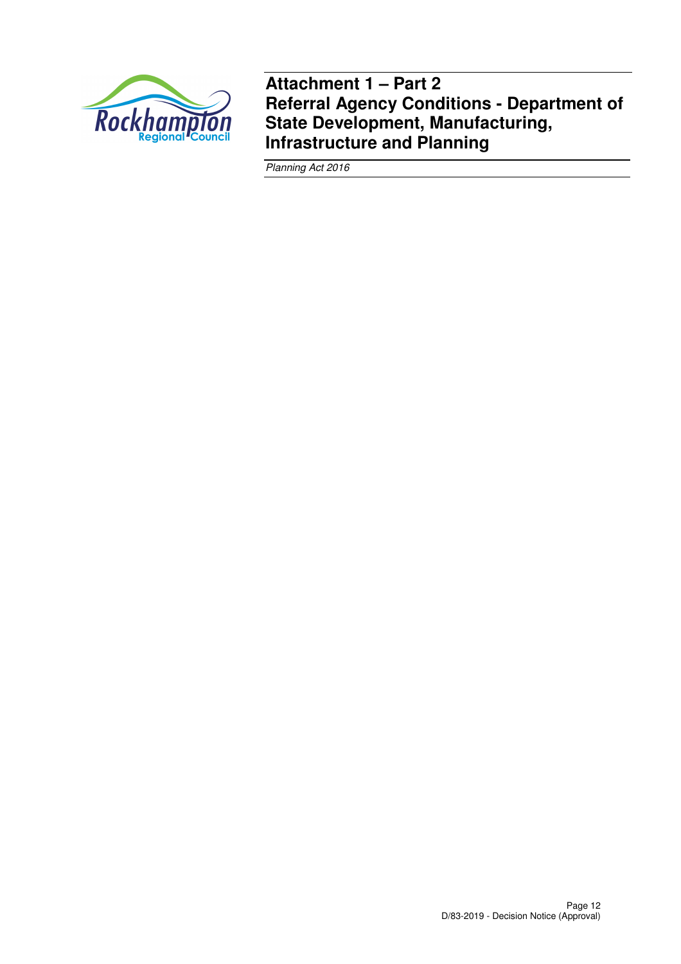

**Attachment 1 – Part 2 Referral Agency Conditions - Department of State Development, Manufacturing, Infrastructure and Planning** 

Planning Act 2016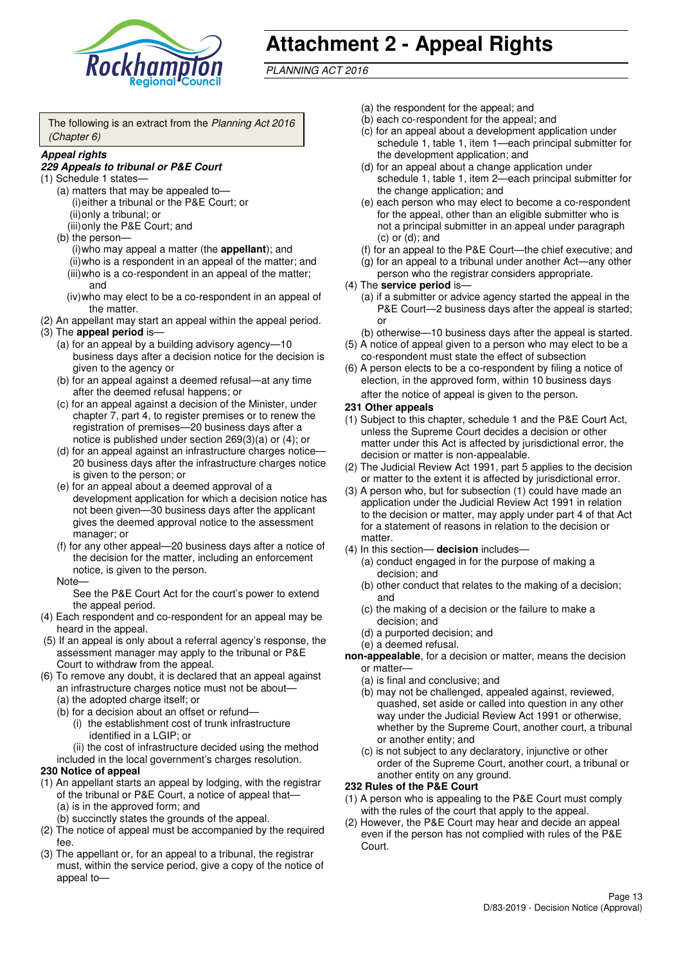

# **Attachment 2 - Appeal Rights**

PLANNING ACT 2016

The following is an extract from the Planning Act 2016 (Chapter 6)

#### **Appeal rights**

### **229 Appeals to tribunal or P&E Court**

- (1) Schedule 1 states—
	- (a) matters that may be appealed to— (i) either a tribunal or the P&E Court; or (ii) only a tribunal; or
	- (iii) only the P&E Court; and (b) the person—

(i) who may appeal a matter (the **appellant**); and (ii) who is a respondent in an appeal of the matter; and (iii) who is a co-respondent in an appeal of the matter; and

- (iv) who may elect to be a co-respondent in an appeal of the matter.
- (2) An appellant may start an appeal within the appeal period.
- (3) The **appeal period** is—
	- (a) for an appeal by a building advisory agency—10 business days after a decision notice for the decision is given to the agency or
	- (b) for an appeal against a deemed refusal—at any time after the deemed refusal happens; or
	- (c) for an appeal against a decision of the Minister, under chapter 7, part 4, to register premises or to renew the registration of premises—20 business days after a notice is published under section 269(3)(a) or (4); or
	- (d) for an appeal against an infrastructure charges notice— 20 business days after the infrastructure charges notice is given to the person; or
	- (e) for an appeal about a deemed approval of a development application for which a decision notice has not been given—30 business days after the applicant gives the deemed approval notice to the assessment manager; or
	- (f) for any other appeal—20 business days after a notice of the decision for the matter, including an enforcement notice, is given to the person.

#### Note—

See the P&E Court Act for the court's power to extend the appeal period.

- (4) Each respondent and co-respondent for an appeal may be heard in the appeal.
- (5) If an appeal is only about a referral agency's response, the assessment manager may apply to the tribunal or P&E Court to withdraw from the appeal.
- (6) To remove any doubt, it is declared that an appeal against an infrastructure charges notice must not be about—
	- (a) the adopted charge itself; or
	- (b) for a decision about an offset or refund—
		- (i) the establishment cost of trunk infrastructure identified in a LGIP; or
		- (ii) the cost of infrastructure decided using the method

included in the local government's charges resolution.

- **230 Notice of appeal**
- (1) An appellant starts an appeal by lodging, with the registrar of the tribunal or P&E Court, a notice of appeal that—
	- (a) is in the approved form; and
	- (b) succinctly states the grounds of the appeal.
- (2) The notice of appeal must be accompanied by the required fee.
- (3) The appellant or, for an appeal to a tribunal, the registrar must, within the service period, give a copy of the notice of appeal to—
- (a) the respondent for the appeal; and
- (b) each co-respondent for the appeal; and
- (c) for an appeal about a development application under schedule 1, table 1, item 1—each principal submitter for the development application; and
- (d) for an appeal about a change application under schedule 1, table 1, item 2—each principal submitter for the change application; and
- (e) each person who may elect to become a co-respondent for the appeal, other than an eligible submitter who is not a principal submitter in an appeal under paragraph  $(c)$  or  $(d)$ ; and
- (f) for an appeal to the P&E Court—the chief executive; and
- (g) for an appeal to a tribunal under another Act—any other person who the registrar considers appropriate.
- (4) The **service period** is—
	- (a) if a submitter or advice agency started the appeal in the P&E Court-2 business days after the appeal is started; or
	- (b) otherwise—10 business days after the appeal is started.
- (5) A notice of appeal given to a person who may elect to be a co-respondent must state the effect of subsection
- (6) A person elects to be a co-respondent by filing a notice of election, in the approved form, within 10 business days after the notice of appeal is given to the person*.*
- **231 Other appeals**
- (1) Subject to this chapter, schedule 1 and the P&E Court Act, unless the Supreme Court decides a decision or other matter under this Act is affected by jurisdictional error, the decision or matter is non-appealable.
- (2) The Judicial Review Act 1991, part 5 applies to the decision or matter to the extent it is affected by jurisdictional error.
- (3) A person who, but for subsection (1) could have made an application under the Judicial Review Act 1991 in relation to the decision or matter, may apply under part 4 of that Act for a statement of reasons in relation to the decision or matter.
- (4) In this section— **decision** includes—
	- (a) conduct engaged in for the purpose of making a decision; and
	- (b) other conduct that relates to the making of a decision; and
	- (c) the making of a decision or the failure to make a decision; and
	- (d) a purported decision; and
	- (e) a deemed refusal.

**non-appealable**, for a decision or matter, means the decision or matter—

- (a) is final and conclusive; and
- (b) may not be challenged, appealed against, reviewed, quashed, set aside or called into question in any other way under the Judicial Review Act 1991 or otherwise, whether by the Supreme Court, another court, a tribunal or another entity; and
- (c) is not subject to any declaratory, injunctive or other order of the Supreme Court, another court, a tribunal or another entity on any ground.

#### **232 Rules of the P&E Court**

- (1) A person who is appealing to the P&E Court must comply with the rules of the court that apply to the appeal.
- (2) However, the P&E Court may hear and decide an appeal even if the person has not complied with rules of the P&E Court.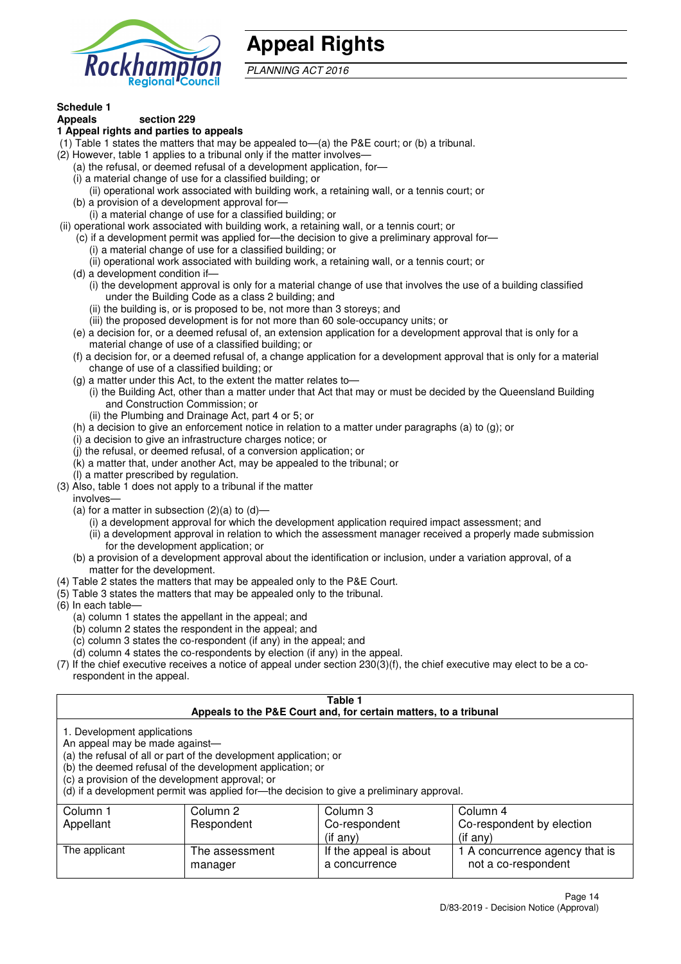

# **Appeal Rights**

PLANNING ACT 2016

# **Schedule 1**

#### **Appeals section 229 1 Appeal rights and parties to appeals**

- (1) Table 1 states the matters that may be appealed to—(a) the P&E court; or (b) a tribunal.
- (2) However, table 1 applies to a tribunal only if the matter involves—
	- (a) the refusal, or deemed refusal of a development application, for—
	- (i) a material change of use for a classified building; or
	- (ii) operational work associated with building work, a retaining wall, or a tennis court; or
	- (b) a provision of a development approval for—
	- (i) a material change of use for a classified building; or
- (ii) operational work associated with building work, a retaining wall, or a tennis court; or
	- (c) if a development permit was applied for—the decision to give a preliminary approval for—
		- (i) a material change of use for a classified building; or
	- (ii) operational work associated with building work, a retaining wall, or a tennis court; or
	- (d) a development condition if—
		- (i) the development approval is only for a material change of use that involves the use of a building classified under the Building Code as a class 2 building; and
		- (ii) the building is, or is proposed to be, not more than 3 storeys; and
		- (iii) the proposed development is for not more than 60 sole-occupancy units; or
	- (e) a decision for, or a deemed refusal of, an extension application for a development approval that is only for a material change of use of a classified building; or
	- (f) a decision for, or a deemed refusal of, a change application for a development approval that is only for a material change of use of a classified building; or
	- (g) a matter under this Act, to the extent the matter relates to—
		- (i) the Building Act, other than a matter under that Act that may or must be decided by the Queensland Building and Construction Commission; or
		- (ii) the Plumbing and Drainage Act, part 4 or 5; or
	- (h) a decision to give an enforcement notice in relation to a matter under paragraphs (a) to (g); or
	- (i) a decision to give an infrastructure charges notice; or
	- (j) the refusal, or deemed refusal, of a conversion application; or
	- (k) a matter that, under another Act, may be appealed to the tribunal; or
	- (l) a matter prescribed by regulation.
- (3) Also, table 1 does not apply to a tribunal if the matter

involves—

- (a) for a matter in subsection  $(2)(a)$  to  $(d)$ 
	- (i) a development approval for which the development application required impact assessment; and
	- (ii) a development approval in relation to which the assessment manager received a properly made submission for the development application; or
- (b) a provision of a development approval about the identification or inclusion, under a variation approval, of a matter for the development.
- (4) Table 2 states the matters that may be appealed only to the P&E Court.
- (5) Table 3 states the matters that may be appealed only to the tribunal.
- (6) In each table—
	- (a) column 1 states the appellant in the appeal; and
	- (b) column 2 states the respondent in the appeal; and
	- (c) column 3 states the co-respondent (if any) in the appeal; and
	- (d) column 4 states the co-respondents by election (if any) in the appeal.
- (7) If the chief executive receives a notice of appeal under section 230(3)(f), the chief executive may elect to be a corespondent in the appeal.

| Table 1<br>Appeals to the P&E Court and, for certain matters, to a tribunal                                                                                                                                                                                                                                                                    |                           |                                         |                                                       |  |  |
|------------------------------------------------------------------------------------------------------------------------------------------------------------------------------------------------------------------------------------------------------------------------------------------------------------------------------------------------|---------------------------|-----------------------------------------|-------------------------------------------------------|--|--|
| 1. Development applications<br>An appeal may be made against-<br>(a) the refusal of all or part of the development application; or<br>(b) the deemed refusal of the development application; or<br>(c) a provision of the development approval; or<br>(d) if a development permit was applied for—the decision to give a preliminary approval. |                           |                                         |                                                       |  |  |
| Column 1                                                                                                                                                                                                                                                                                                                                       | Column 2                  | Column 3                                | Column 4                                              |  |  |
| Appellant                                                                                                                                                                                                                                                                                                                                      | Respondent                | Co-respondent                           | Co-respondent by election                             |  |  |
| $($ if any $)$<br>$(i$ f any)                                                                                                                                                                                                                                                                                                                  |                           |                                         |                                                       |  |  |
| The applicant                                                                                                                                                                                                                                                                                                                                  | The assessment<br>manager | If the appeal is about<br>a concurrence | 1 A concurrence agency that is<br>not a co-respondent |  |  |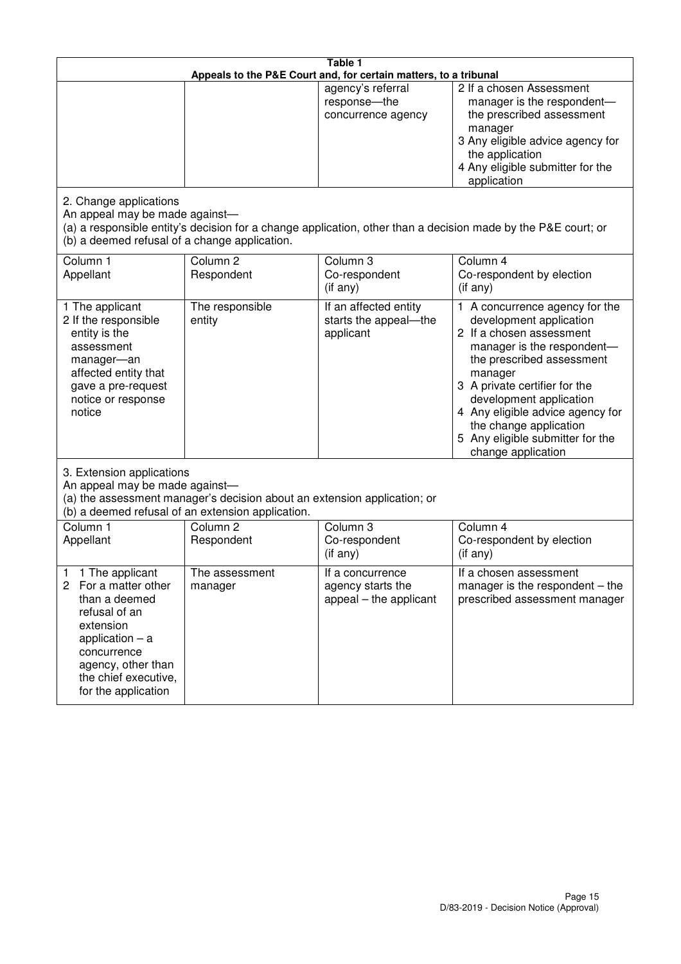| Table 1<br>Appeals to the P&E Court and, for certain matters, to a tribunal                                                                                                                             |                                   |                                                                 |                                                                                                                                                                                                                                                                                                                                                 |  |  |
|---------------------------------------------------------------------------------------------------------------------------------------------------------------------------------------------------------|-----------------------------------|-----------------------------------------------------------------|-------------------------------------------------------------------------------------------------------------------------------------------------------------------------------------------------------------------------------------------------------------------------------------------------------------------------------------------------|--|--|
|                                                                                                                                                                                                         |                                   | agency's referral<br>response-the<br>concurrence agency         | 2 If a chosen Assessment<br>manager is the respondent-<br>the prescribed assessment<br>manager<br>3 Any eligible advice agency for<br>the application<br>4 Any eligible submitter for the<br>application                                                                                                                                        |  |  |
| 2. Change applications<br>An appeal may be made against-<br>(b) a deemed refusal of a change application.                                                                                               |                                   |                                                                 | (a) a responsible entity's decision for a change application, other than a decision made by the P&E court; or                                                                                                                                                                                                                                   |  |  |
| Column 1<br>Appellant                                                                                                                                                                                   | Column <sub>2</sub><br>Respondent | Column 3<br>Co-respondent<br>$($ if any $)$                     | Column 4<br>Co-respondent by election<br>$(if$ any)                                                                                                                                                                                                                                                                                             |  |  |
| 1 The applicant<br>2 If the responsible<br>entity is the<br>assessment<br>manager-an<br>affected entity that<br>gave a pre-request<br>notice or response<br>notice                                      | The responsible<br>entity         | If an affected entity<br>starts the appeal-the<br>applicant     | 1 A concurrence agency for the<br>development application<br>2 If a chosen assessment<br>manager is the respondent-<br>the prescribed assessment<br>manager<br>3 A private certifier for the<br>development application<br>4 Any eligible advice agency for<br>the change application<br>5 Any eligible submitter for the<br>change application |  |  |
| 3. Extension applications<br>An appeal may be made against-<br>(a) the assessment manager's decision about an extension application; or<br>(b) a deemed refusal of an extension application.            |                                   |                                                                 |                                                                                                                                                                                                                                                                                                                                                 |  |  |
| Column 1<br>Appellant                                                                                                                                                                                   | Column <sub>2</sub><br>Respondent | Column 3<br>Co-respondent<br>(if any)                           | Column $\overline{4}$<br>Co-respondent by election<br>(if any)                                                                                                                                                                                                                                                                                  |  |  |
| 1 The applicant<br>1<br>2<br>For a matter other<br>than a deemed<br>refusal of an<br>extension<br>application $-$ a<br>concurrence<br>agency, other than<br>the chief executive,<br>for the application | The assessment<br>manager         | If a concurrence<br>agency starts the<br>appeal – the applicant | If a chosen assessment<br>manager is the respondent $-$ the<br>prescribed assessment manager                                                                                                                                                                                                                                                    |  |  |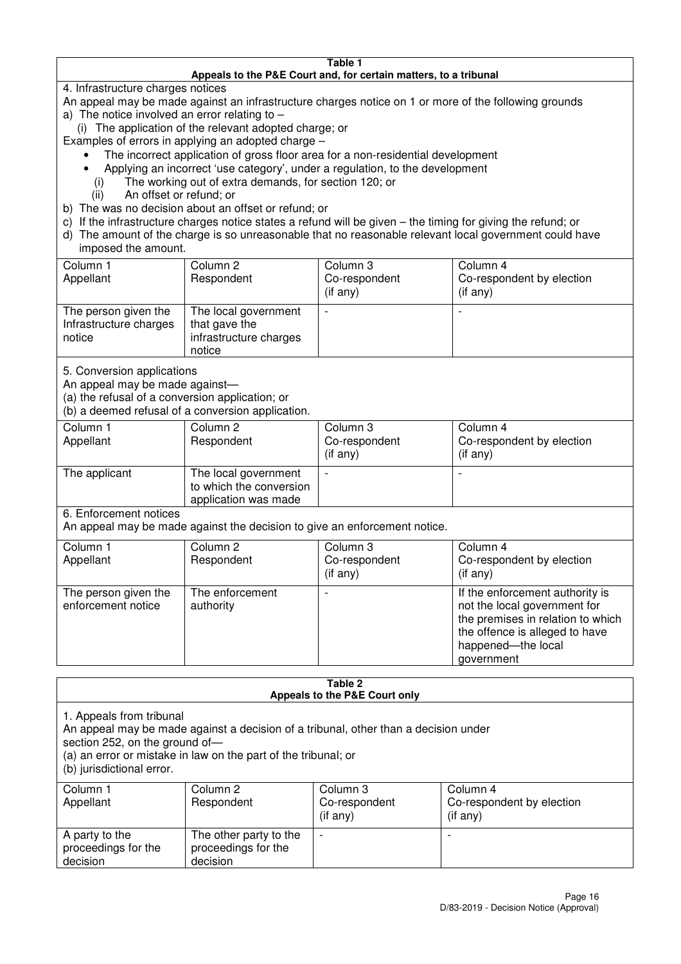#### **Table 1 Appeals to the P&E Court and, for certain matters, to a tribunal**

4. Infrastructure charges notices

- An appeal may be made against an infrastructure charges notice on 1 or more of the following grounds
- a) The notice involved an error relating to
	- (i) The application of the relevant adopted charge; or
- Examples of errors in applying an adopted charge
	- The incorrect application of gross floor area for a non-residential development
	- Applying an incorrect 'use category', under a regulation, to the development
	- (i) The working out of extra demands, for section 120; or
	- (ii) An offset or refund; or
- b) The was no decision about an offset or refund; or
- c) If the infrastructure charges notice states a refund will be given the timing for giving the refund; or
- d) The amount of the charge is so unreasonable that no reasonable relevant local government could have

## imposed the amount.

| Column 1<br>Appellant                                    | Column 2<br>Respondent                                                    | Column 3<br>Co-respondent<br>$($ if any $)$ | Column 4<br>Co-respondent by election<br>$($ if any $)$ |
|----------------------------------------------------------|---------------------------------------------------------------------------|---------------------------------------------|---------------------------------------------------------|
| The person given the<br>Infrastructure charges<br>notice | The local government<br>that gave the<br>infrastructure charges<br>notice |                                             | $\overline{\phantom{0}}$                                |

5. Conversion applications

An appeal may be made against—

(a) the refusal of a conversion application; or

(b) a deemed refusal of a conversion application.

| Column 1<br>Appellant | Column 2<br>Respondent                                                  | Column 3<br>Co-respondent<br>$($ if any $)$ | Column 4<br>Co-respondent by election<br>$($ if any $)$ |  |
|-----------------------|-------------------------------------------------------------------------|---------------------------------------------|---------------------------------------------------------|--|
| The applicant         | The local government<br>to which the conversion<br>application was made |                                             |                                                         |  |

6. Enforcement notices

An appeal may be made against the decision to give an enforcement notice.

| Column 1                                   | Column 2                     | Column 3       | Column 4                                                                                                                                                                   |
|--------------------------------------------|------------------------------|----------------|----------------------------------------------------------------------------------------------------------------------------------------------------------------------------|
| Appellant                                  | Respondent                   | Co-respondent  | Co-respondent by election                                                                                                                                                  |
|                                            |                              | $($ if any $)$ | $(if$ any)                                                                                                                                                                 |
| The person given the<br>enforcement notice | The enforcement<br>authority |                | If the enforcement authority is<br>not the local government for<br>the premises in relation to which<br>the offence is alleged to have<br>happened-the local<br>government |

#### **Table 2 Appeals to the P&E Court only**

1. Appeals from tribunal

An appeal may be made against a decision of a tribunal, other than a decision under

section 252, on the ground of-

(a) an error or mistake in law on the part of the tribunal; or

(b) jurisdictional error.

| Column 1<br>Appellant                             | Column 2<br>Respondent                                    | Column 3<br>Co-respondent<br>$($ if any $)$ | Column 4<br>Co-respondent by election<br>(i f any) |
|---------------------------------------------------|-----------------------------------------------------------|---------------------------------------------|----------------------------------------------------|
| A party to the<br>proceedings for the<br>decision | The other party to the<br>proceedings for the<br>decision | $\overline{\phantom{0}}$                    |                                                    |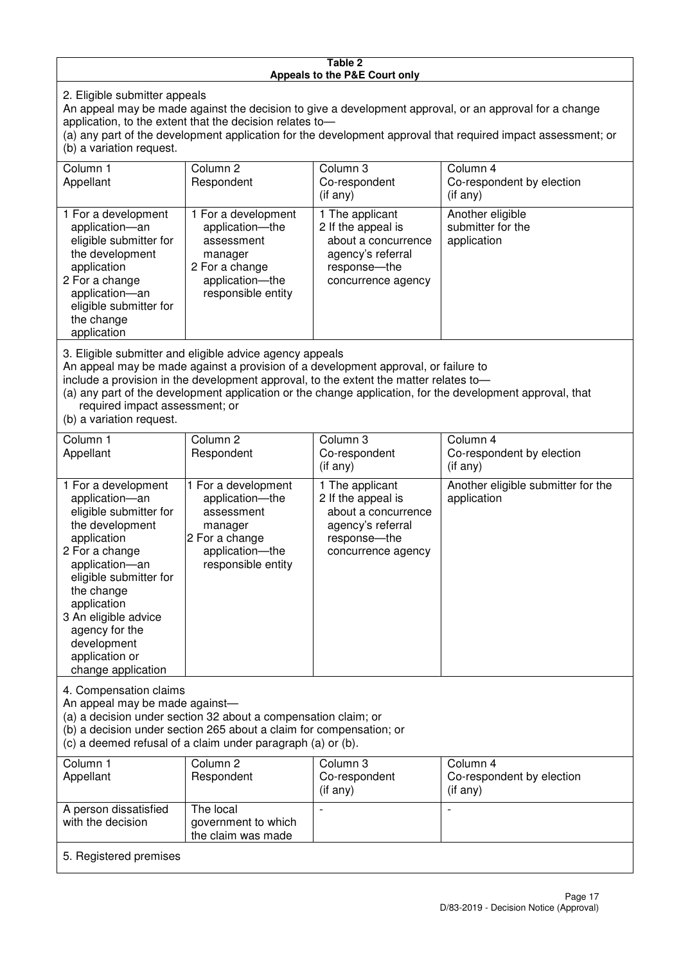#### **Table 2 Appeals to the P&E Court only**

2. Eligible submitter appeals

An appeal may be made against the decision to give a development approval, or an approval for a change application, to the extent that the decision relates to—

(a) any part of the development application for the development approval that required impact assessment; or (b) a variation request.

| Column 1                                                                                                                                                                                                                                                                                                                                                  | Column <sub>2</sub>                                                                                                        | Column 3                                                                                                                  | Column 4                                             |  |
|-----------------------------------------------------------------------------------------------------------------------------------------------------------------------------------------------------------------------------------------------------------------------------------------------------------------------------------------------------------|----------------------------------------------------------------------------------------------------------------------------|---------------------------------------------------------------------------------------------------------------------------|------------------------------------------------------|--|
| Appellant                                                                                                                                                                                                                                                                                                                                                 | Respondent                                                                                                                 | Co-respondent                                                                                                             | Co-respondent by election                            |  |
|                                                                                                                                                                                                                                                                                                                                                           |                                                                                                                            | $($ if any $)$                                                                                                            | (i f any)                                            |  |
| 1 For a development<br>application-an<br>eligible submitter for<br>the development<br>application<br>2 For a change<br>application-an<br>eligible submitter for<br>the change<br>application                                                                                                                                                              | 1 For a development<br>application-the<br>assessment<br>manager<br>2 For a change<br>application-the<br>responsible entity | 1 The applicant<br>2 If the appeal is<br>about a concurrence<br>agency's referral<br>response---the<br>concurrence agency | Another eligible<br>submitter for the<br>application |  |
| 3. Eligible submitter and eligible advice agency appeals<br>An appeal may be made against a provision of a development approval, or failure to<br>include a provision in the development approval, to the extent the matter relates to-<br>$\alpha$ any part of the development epplication or the change epplication, for the development eppreval, that |                                                                                                                            |                                                                                                                           |                                                      |  |

(a) any part of the development application or the change application, for the development approval, that required impact assessment; or

(b) a variation request.

| Column 1<br>Appellant                                                                                                                                                                                                                                                                         | Column <sub>2</sub><br>Respondent                                                                                          | Column 3<br>Co-respondent                                                                                               | Column 4<br>Co-respondent by election              |  |  |
|-----------------------------------------------------------------------------------------------------------------------------------------------------------------------------------------------------------------------------------------------------------------------------------------------|----------------------------------------------------------------------------------------------------------------------------|-------------------------------------------------------------------------------------------------------------------------|----------------------------------------------------|--|--|
|                                                                                                                                                                                                                                                                                               |                                                                                                                            | $(i f \n\text{any})$                                                                                                    | (i f any)                                          |  |  |
| 1 For a development<br>application-an<br>eligible submitter for<br>the development<br>application<br>2 For a change<br>application-an<br>eligible submitter for<br>the change<br>application<br>3 An eligible advice<br>agency for the<br>development<br>application or<br>change application | 1 For a development<br>application-the<br>assessment<br>manager<br>2 For a change<br>application-the<br>responsible entity | 1 The applicant<br>2 If the appeal is<br>about a concurrence<br>agency's referral<br>response-the<br>concurrence agency | Another eligible submitter for the<br>application  |  |  |
| 4. Compensation claims<br>An appeal may be made against-<br>(a) a decision under section 32 about a compensation claim; or<br>(b) a decision under section 265 about a claim for compensation; or<br>(c) a deemed refusal of a claim under paragraph (a) or (b).                              |                                                                                                                            |                                                                                                                         |                                                    |  |  |
| Column 1<br>Appellant                                                                                                                                                                                                                                                                         | Column 2<br>Respondent                                                                                                     | Column 3<br>Co-respondent<br>$(if$ anv)                                                                                 | Column 4<br>Co-respondent by election<br>(iif any) |  |  |

| COLUMN 1<br>Appellant                      | Column 2<br>Respondent                                 | GOIUITIITI 3<br>Co-respondent<br>$($ if any $)$ | COIUMM 4<br>Co-respondent by election<br>$($ if any $)$ |  |
|--------------------------------------------|--------------------------------------------------------|-------------------------------------------------|---------------------------------------------------------|--|
| A person dissatisfied<br>with the decision | The local<br>government to which<br>the claim was made |                                                 |                                                         |  |
| 5. Registered premises                     |                                                        |                                                 |                                                         |  |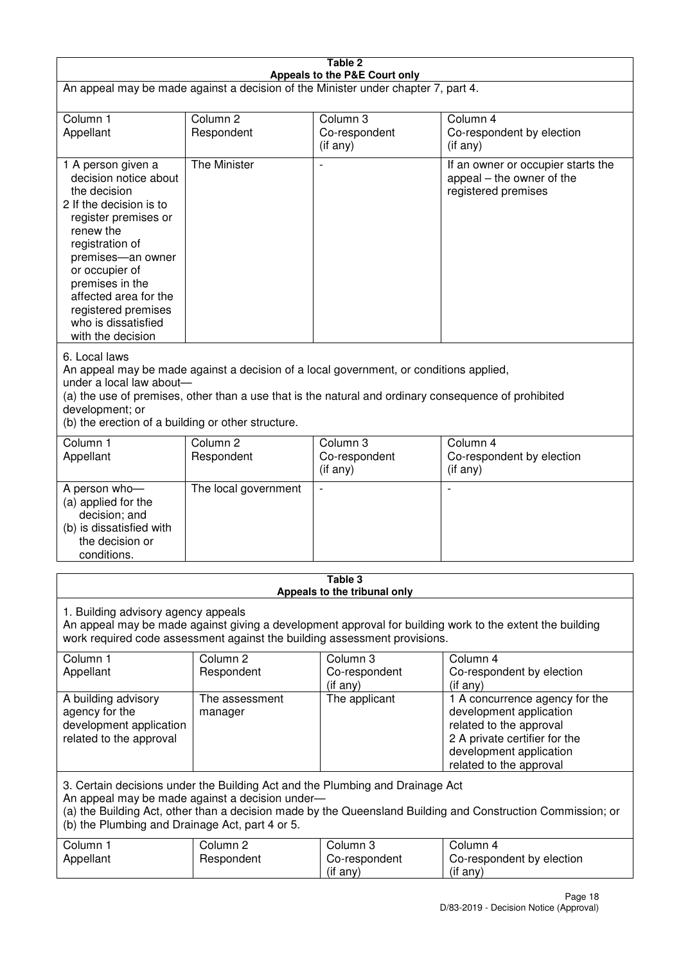| Table 2<br>Appeals to the P&E Court only                                                                                                                                                                                                                                                                             |                                   |                                                                           |                                                                                                                                                                             |  |  |
|----------------------------------------------------------------------------------------------------------------------------------------------------------------------------------------------------------------------------------------------------------------------------------------------------------------------|-----------------------------------|---------------------------------------------------------------------------|-----------------------------------------------------------------------------------------------------------------------------------------------------------------------------|--|--|
| An appeal may be made against a decision of the Minister under chapter 7, part 4.                                                                                                                                                                                                                                    |                                   |                                                                           |                                                                                                                                                                             |  |  |
| Column 1<br>Appellant                                                                                                                                                                                                                                                                                                | Column <sub>2</sub><br>Respondent | Column 3<br>Co-respondent<br>(if any)                                     | Column 4<br>Co-respondent by election<br>(if any)                                                                                                                           |  |  |
| 1 A person given a<br>decision notice about<br>the decision<br>2 If the decision is to<br>register premises or<br>renew the<br>registration of<br>premises-an owner<br>or occupier of<br>premises in the<br>affected area for the<br>registered premises<br>who is dissatisfied<br>with the decision                 | The Minister                      | $\overline{\phantom{a}}$                                                  | If an owner or occupier starts the<br>appeal – the owner of the<br>registered premises                                                                                      |  |  |
| 6. Local laws<br>An appeal may be made against a decision of a local government, or conditions applied,<br>under a local law about-<br>(a) the use of premises, other than a use that is the natural and ordinary consequence of prohibited<br>development; or<br>(b) the erection of a building or other structure. |                                   |                                                                           |                                                                                                                                                                             |  |  |
| Column 1<br>Appellant                                                                                                                                                                                                                                                                                                | Column <sub>2</sub><br>Respondent | Column 3<br>Co-respondent<br>(if any)                                     | Column 4<br>Co-respondent by election<br>(if any)                                                                                                                           |  |  |
| A person who-<br>(a) applied for the<br>decision; and<br>(b) is dissatisfied with<br>the decision or<br>conditions.                                                                                                                                                                                                  | The local government              |                                                                           |                                                                                                                                                                             |  |  |
|                                                                                                                                                                                                                                                                                                                      |                                   | Table 3<br>Appeals to the tribunal only                                   |                                                                                                                                                                             |  |  |
| 1. Building advisory agency appeals                                                                                                                                                                                                                                                                                  |                                   | work required code assessment against the building assessment provisions. | An appeal may be made against giving a development approval for building work to the extent the building                                                                    |  |  |
| Column 1<br>Appellant                                                                                                                                                                                                                                                                                                | Column <sub>2</sub><br>Respondent | Column <sub>3</sub><br>Co-respondent<br>(if any)                          | Column 4<br>Co-respondent by election<br>(if any)                                                                                                                           |  |  |
| A building advisory<br>agency for the<br>development application<br>related to the approval                                                                                                                                                                                                                          | The assessment<br>manager         | The applicant                                                             | 1 A concurrence agency for the<br>development application<br>related to the approval<br>2 A private certifier for the<br>development application<br>related to the approval |  |  |
| 3. Certain decisions under the Building Act and the Plumbing and Drainage Act<br>An appeal may be made against a decision under-<br>(a) the Building Act, other than a decision made by the Queensland Building and Construction Commission; or<br>(b) the Plumbing and Drainage Act, part 4 or 5.                   |                                   |                                                                           |                                                                                                                                                                             |  |  |
| Column 1<br>Appellant                                                                                                                                                                                                                                                                                                | Column <sub>2</sub><br>Respondent | Column 3<br>Co-respondent<br>(if any)                                     | Column 4<br>Co-respondent by election<br>(if any)                                                                                                                           |  |  |